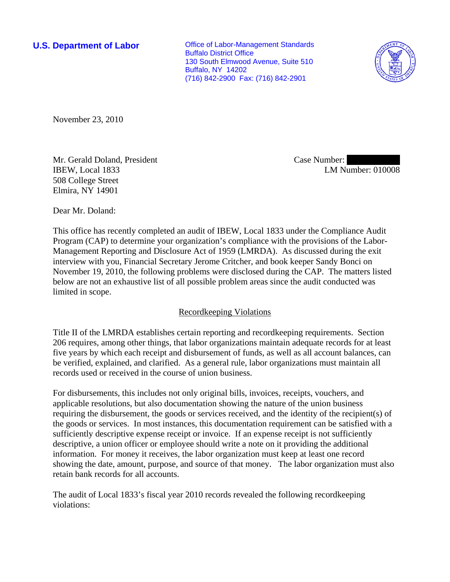**U.S. Department of Labor Conservative Conservative Conservative Conservative Conservative Conservative Conservative Conservative Conservative Conservative Conservative Conservative Conservative Conservative Conservative** Buffalo District Office 130 South Elmwood Avenue, Suite 510 Buffalo, NY 14202 (716) 842-2900 Fax: (716) 842-2901



November 23, 2010

Mr. Gerald Doland, President IBEW, Local 1833 508 College Street Elmira, NY 14901

Case Number: LM Number: 010008

Dear Mr. Doland:

This office has recently completed an audit of IBEW, Local 1833 under the Compliance Audit Program (CAP) to determine your organization's compliance with the provisions of the Labor-Management Reporting and Disclosure Act of 1959 (LMRDA). As discussed during the exit interview with you, Financial Secretary Jerome Critcher, and book keeper Sandy Bonci on November 19, 2010, the following problems were disclosed during the CAP. The matters listed below are not an exhaustive list of all possible problem areas since the audit conducted was limited in scope.

# Recordkeeping Violations

Title II of the LMRDA establishes certain reporting and recordkeeping requirements. Section 206 requires, among other things, that labor organizations maintain adequate records for at least five years by which each receipt and disbursement of funds, as well as all account balances, can be verified, explained, and clarified. As a general rule, labor organizations must maintain all records used or received in the course of union business.

For disbursements, this includes not only original bills, invoices, receipts, vouchers, and applicable resolutions, but also documentation showing the nature of the union business requiring the disbursement, the goods or services received, and the identity of the recipient(s) of the goods or services. In most instances, this documentation requirement can be satisfied with a sufficiently descriptive expense receipt or invoice. If an expense receipt is not sufficiently descriptive, a union officer or employee should write a note on it providing the additional information. For money it receives, the labor organization must keep at least one record showing the date, amount, purpose, and source of that money. The labor organization must also retain bank records for all accounts.

The audit of Local 1833's fiscal year 2010 records revealed the following recordkeeping violations: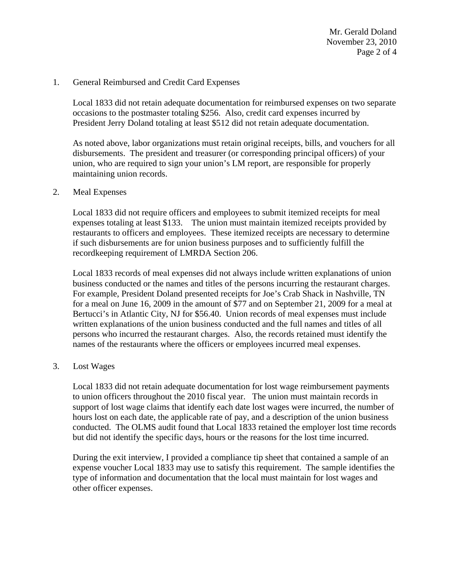Mr. Gerald Doland November 23, 2010 Page 2 of 4

## 1. General Reimbursed and Credit Card Expenses

Local 1833 did not retain adequate documentation for reimbursed expenses on two separate occasions to the postmaster totaling \$256. Also, credit card expenses incurred by President Jerry Doland totaling at least \$512 did not retain adequate documentation.

As noted above, labor organizations must retain original receipts, bills, and vouchers for all disbursements. The president and treasurer (or corresponding principal officers) of your union, who are required to sign your union's LM report, are responsible for properly maintaining union records.

#### 2. Meal Expenses

Local 1833 did not require officers and employees to submit itemized receipts for meal expenses totaling at least \$133. The union must maintain itemized receipts provided by restaurants to officers and employees. These itemized receipts are necessary to determine if such disbursements are for union business purposes and to sufficiently fulfill the recordkeeping requirement of LMRDA Section 206.

Local 1833 records of meal expenses did not always include written explanations of union business conducted or the names and titles of the persons incurring the restaurant charges. For example, President Doland presented receipts for Joe's Crab Shack in Nashville, TN for a meal on June 16, 2009 in the amount of \$77 and on September 21, 2009 for a meal at Bertucci's in Atlantic City, NJ for \$56.40. Union records of meal expenses must include written explanations of the union business conducted and the full names and titles of all persons who incurred the restaurant charges. Also, the records retained must identify the names of the restaurants where the officers or employees incurred meal expenses.

#### 3. Lost Wages

Local 1833 did not retain adequate documentation for lost wage reimbursement payments to union officers throughout the 2010 fiscal year. The union must maintain records in support of lost wage claims that identify each date lost wages were incurred, the number of hours lost on each date, the applicable rate of pay, and a description of the union business conducted. The OLMS audit found that Local 1833 retained the employer lost time records but did not identify the specific days, hours or the reasons for the lost time incurred.

During the exit interview, I provided a compliance tip sheet that contained a sample of an expense voucher Local 1833 may use to satisfy this requirement. The sample identifies the type of information and documentation that the local must maintain for lost wages and other officer expenses.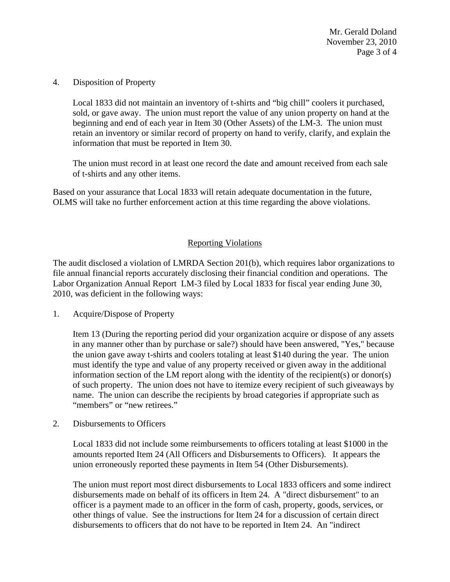Mr. Gerald Doland November 23, 2010 Page 3 of 4

### 4. Disposition of Property

Local 1833 did not maintain an inventory of t-shirts and "big chill" coolers it purchased, sold, or gave away. The union must report the value of any union property on hand at the beginning and end of each year in Item 30 (Other Assets) of the LM-3. The union must retain an inventory or similar record of property on hand to verify, clarify, and explain the information that must be reported in Item 30.

The union must record in at least one record the date and amount received from each sale of t-shirts and any other items.

Based on your assurance that Local 1833 will retain adequate documentation in the future, OLMS will take no further enforcement action at this time regarding the above violations.

# Reporting Violations

The audit disclosed a violation of LMRDA Section 201(b), which requires labor organizations to file annual financial reports accurately disclosing their financial condition and operations. The Labor Organization Annual Report LM-3 filed by Local 1833 for fiscal year ending June 30, 2010, was deficient in the following ways:

1. Acquire/Dispose of Property

Item 13 (During the reporting period did your organization acquire or dispose of any assets in any manner other than by purchase or sale?) should have been answered, "Yes," because the union gave away t-shirts and coolers totaling at least \$140 during the year. The union must identify the type and value of any property received or given away in the additional information section of the LM report along with the identity of the recipient(s) or donor(s) of such property. The union does not have to itemize every recipient of such giveaways by name. The union can describe the recipients by broad categories if appropriate such as "members" or "new retirees."

2. Disbursements to Officers

Local 1833 did not include some reimbursements to officers totaling at least \$1000 in the amounts reported Item 24 (All Officers and Disbursements to Officers). It appears the union erroneously reported these payments in Item 54 (Other Disbursements).

The union must report most direct disbursements to Local 1833 officers and some indirect disbursements made on behalf of its officers in Item 24. A "direct disbursement" to an officer is a payment made to an officer in the form of cash, property, goods, services, or other things of value. See the instructions for Item 24 for a discussion of certain direct disbursements to officers that do not have to be reported in Item 24. An "indirect